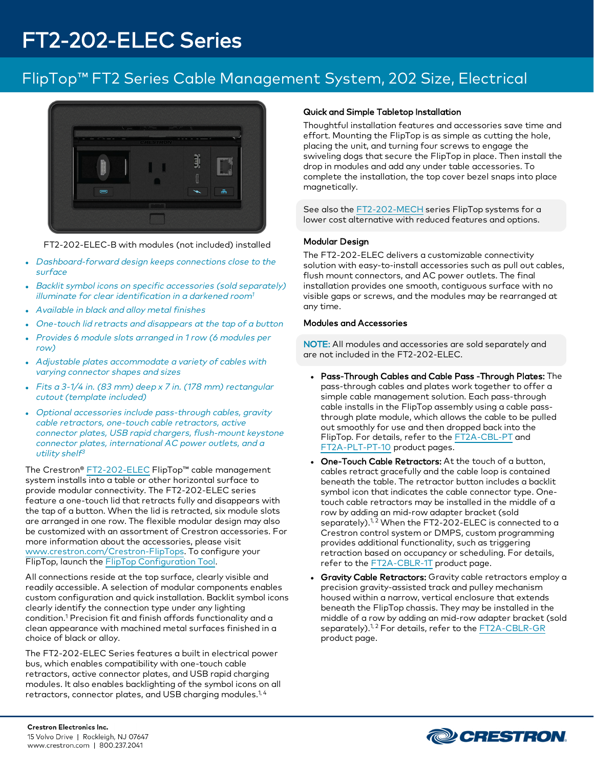## FlipTop™ FT2 Series Cable Management System, 202 Size, Electrical



FT2-202-ELEC-B with modules (not included) installed

- Dashboard-forward design keeps connections close to the surface
- Backlit symbol icons on specific accessories (sold separately) illuminate for clear identification in a darkened room $1$
- Available in black and alloy metal finishes
- One-touch lid retracts and disappears at the tap of a button
- <sup>l</sup> Provides 6 module slots arranged in 1 row (6 modules per row)
- Adjustable plates accommodate a variety of cables with varying connector shapes and sizes
- Fits a 3-1/4 in. (83 mm) deep  $x$  7 in. (178 mm) rectangular cutout (template included)
- Optional accessories include pass-through cables, gravity cable retractors, one-touch cable retractors, active connector plates, USB rapid chargers, flush-mount keystone connector plates, international AC power outlets, and <sup>a</sup> utility shelf 3

The Crestron® [FT2-202-ELEC](https://www.crestron.com/model/6509650) FlipTop™ cable management system installs into a table or other horizontal surface to provide modular connectivity. The FT2-202-ELEC series feature a one-touch lid that retracts fully and disappears with the tap of a button. When the lid is retracted, six module slots are arranged in one row. The flexible modular design may also be customized with an assortment of Crestron accessories. For more information about the accessories, please visit [www.crestron.com/Crestron-FlipTops.](https://www.crestron.com/Products/Featured-Solutions/Crestron-Fliptops) To configure your FlipTop, launch the FlipTop [Configuration](https://www.crestron.com/Support/Tools/Configurators/FlipTop-Configuration-Tool) Tool.

All connections reside at the top surface, clearly visible and readily accessible. A selection of modular components enables custom configuration and quick installation. Backlit symbol icons clearly identify the connection type under any lighting condition.<sup>1</sup> Precision fit and finish affords functionality and a clean appearance with machined metal surfaces finished in a choice of black or alloy.

The FT2-202-ELEC Series features a built in electrical power bus, which enables compatibility with one-touch cable retractors, active connector plates, and USB rapid charging modules. It also enables backlighting of the symbol icons on all retractors, connector plates, and USB charging modules.<sup>1, 4</sup>

#### Quick and Simple Tabletop Installation

Thoughtful installation features and accessories save time and effort. Mounting the FlipTop is as simple as cutting the hole, placing the unit, and turning four screws to engage the swiveling dogs that secure the FlipTop in place. Then install the drop in modules and add any under table accessories. To complete the installation, the top cover bezel snaps into place magnetically.

See also the [FT2-202-MECH](https://www.crestron.com/en-US/Products/Interconnects,-Interfaces-Infrastructure/Control-Connectivity-Solutions/Connection-Compartments/FT2-202-MECH-B) series FlipTop systems for a lower cost alternative with reduced features and options.

#### Modular Design

The FT2-202-ELEC delivers a customizable connectivity solution with easy-to-install accessories such as pull out cables, flush mount connectors, and AC power outlets. The final installation provides one smooth, contiguous surface with no visible gaps or screws, and the modules may be rearranged at any time.

#### Modules and Accessories

NOTE: All modules and accessories are sold separately and are not included in the FT2-202-ELEC.

- Pass-Through Cables and Cable Pass -Through Plates: The pass-through cables and plates work together to offer a simple cable management solution. Each pass-through cable installs in the FlipTop assembly using a cable passthrough plate module, which allows the cable to be pulled out smoothly for use and then dropped back into the FlipTop. For details, refer to the [FT2A-CBL-PT](https://www.crestron.com/Products/Interconnects,-Interfaces-Infrastructure/Control-Connectivity-Solutions/Connection-Compartment-Accessories/FT2A-CBL-PT-4K-HD) and [FT2A-PLT-PT-10](https://www.crestron.com/Products/Interconnects,-Interfaces-Infrastructure/Control-Connectivity-Solutions/Connection-Compartment-Accessories/FT2A-PLT-PT-10) product pages.
- One-Touch Cable Retractors: At the touch of a button, cables retract gracefully and the cable loop is contained beneath the table. The retractor button includes a backlit symbol icon that indicates the cable connector type. Onetouch cable retractors may be installed in the middle of a row by adding an mid-row adapter bracket (sold separately).<sup>1,2</sup> When the FT2-202-ELEC is connected to a Crestron control system or DMPS, custom programming provides additional functionality, such as triggering retraction based on occupancy or scheduling. For details, refer to the [FT2A-CBLR-1T](https://www.crestron.com/en-US/Products/Interconnects,-Interfaces-Infrastructure/Control-Connectivity-Solutions/Connection-Compartment-Accessories/FT2A-CBLR-1T-HD) product page.
- Gravity Cable Retractors: Gravity cable retractors employ a precision gravity-assisted track and pulley mechanism housed within a narrow, vertical enclosure that extends beneath the FlipTop chassis. They may be installed in the middle of a row by adding an mid-row adapter bracket (sold separately).<sup>1, 2</sup> For details, refer to the [FT2A-CBLR-GR](https://www.crestron.com/en-US/Products/Interconnects,-Interfaces-Infrastructure/Control-Connectivity-Solutions/Connection-Compartment-Accessories/FT2A-CBLR-GR-4K-HD) product page.

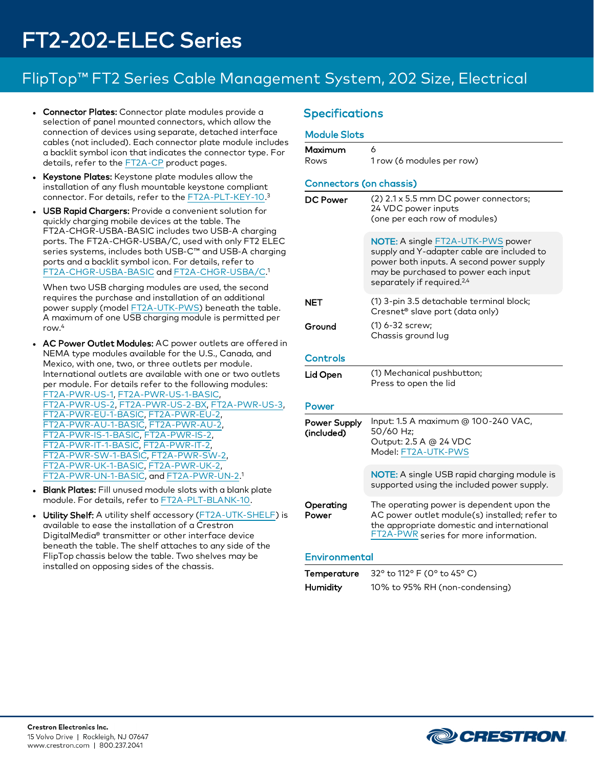## FlipTop™ FT2 Series Cable Management System, 202 Size, Electrical

- Connector Plates: Connector plate modules provide a selection of panel mounted connectors, which allow the connection of devices using separate, detached interface cables (not included). Each connector plate module includes a backlit symbol icon that indicates the connector type. For details, refer to the [FT2A-CP](https://www.crestron.com/en-US/Products/Interconnects,-Interfaces-Infrastructure/Control-Connectivity-Solutions/Connection-Compartment-Accessories/FT2A-CP-4K-HD) product pages.
- Keystone Plates: Keystone plate modules allow the installation of any flush mountable keystone compliant connector. For details, refer to the [FT2A-PLT-KEY-10](https://www.crestron.com/Products/Interconnects,-Interfaces-Infrastructure/Control-Connectivity-Solutions/Connection-Compartment-Accessories/FT2A-PLT-KEY-10). 3
- USB Rapid Chargers: Provide a convenient solution for quickly charging mobile devices at the table. The FT2A-CHGR-USBA-BASIC includes two USB-A charging ports. The FT2A-CHGR-USBA/C, used with only FT2 ELEC series systems, includes both USB-C™ and USB-A charging ports and a backlit symbol icon. For details, refer to [FT2A-CHGR-USBA-BASIC](https://www.crestron.com/Products/Interconnects,-Interfaces-Infrastructure/Control-Connectivity-Solutions/Connection-Compartment-Accessories/FT2A-CHGR-USBA-BASIC) and [FT2A-CHGR-USBA/C.](https://www.crestron.com/en-US/Products/Interconnects,-Interfaces-Infrastructure/Control-Connectivity-Solutions/Connection-Compartment-Accessories/FT2A-CHGR-USBA-C) 1

When two USB charging modules are used, the second requires the purchase and installation of an additional power supply (model [FT2A-UTK-PWS\)](https://www.crestron.com/en-US/Products/Interconnects,-Interfaces-Infrastructure/Control-Connectivity-Solutions/Connection-Compartment-Accessories/FT2A-UTK-PWS) beneath the table. A maximum of one USB charging module is permitted per row.<sup>4</sup>

- AC Power Outlet Modules: AC power outlets are offered in NEMA type modules available for the U.S., Canada, and Mexico, with one, two, or three outlets per module. International outlets are available with one or two outlets per module. For details refer to the following modules: [FT2A-PWR-US-1](https://www.crestron.com/Products/Interconnects,-Interfaces-Infrastructure/Control-Connectivity-Solutions/Connection-Compartment-Accessories/FT2A-PWR-US-1), [FT2A-PWR-US-1-BASIC,](https://www.crestron.com/Products/Interconnects,-Interfaces-Infrastructure/Control-Connectivity-Solutions/Connection-Compartment-Accessories/FT2A-PWR-US-1-BASIC) [FT2A-PWR-US-2](https://www.crestron.com/Products/Interconnects,-Interfaces-Infrastructure/Control-Connectivity-Solutions/Connection-Compartment-Accessories/FT2A-PWR-US-2), [FT2A-PWR-US-2-BX](https://www.crestron.com/Products/Interconnects,-Interfaces-Infrastructure/Control-Connectivity-Solutions/Connection-Compartment-Accessories/FT2A-PWR-US-2-BX), [FT2A-PWR-US-3,](https://www.crestron.com/Products/Interconnects,-Interfaces-Infrastructure/Control-Connectivity-Solutions/Connection-Compartment-Accessories/FT2A-PWR-US-3) [FT2A-PWR-EU-1-BASIC](https://www.crestron.com/Products/Interconnects,-Interfaces-Infrastructure/Control-Connectivity-Solutions/Connection-Compartment-Accessories/FT2A-PWR-EU-1-BASIC), [FT2A-PWR-EU-2](https://www.crestron.com/Products/Interconnects,-Interfaces-Infrastructure/Control-Connectivity-Solutions/Connection-Compartment-Accessories/FT2A-PWR-EU-2), [FT2A-PWR-AU-1-BASIC](https://www.crestron.com/Products/Interconnects,-Interfaces-Infrastructure/Control-Connectivity-Solutions/Connection-Compartment-Accessories/FT2A-PWR-AU-1-BASIC), [FT2A-PWR-AU-2,](https://www.crestron.com/Products/Interconnects,-Interfaces-Infrastructure/Control-Connectivity-Solutions/Connection-Compartment-Accessories/FT2A-PWR-AU-2) [FT2A-PWR-IS-1-BASIC](https://www.crestron.com/Products/Interconnects,-Interfaces-Infrastructure/Control-Connectivity-Solutions/Connection-Compartment-Accessories/FT2A-PWR-IS-1-BASIC), [FT2A-PWR-IS-2](https://www.crestron.com/Products/Interconnects,-Interfaces-Infrastructure/Control-Connectivity-Solutions/Connection-Compartment-Accessories/FT2A-PWR-IS-2), [FT2A-PWR-IT-1-BASIC](https://www.crestron.com/Products/Interconnects,-Interfaces-Infrastructure/Control-Connectivity-Solutions/Connection-Compartment-Accessories/FT2A-PWR-IT-1-BASIC), [FT2A-PWR-IT-2,](https://www.crestron.com/Products/Interconnects,-Interfaces-Infrastructure/Control-Connectivity-Solutions/Connection-Compartment-Accessories/FT2A-PWR-IT-2) [FT2A-PWR-SW-1-BASIC,](https://www.crestron.com/Products/Interconnects,-Interfaces-Infrastructure/Control-Connectivity-Solutions/Connection-Compartment-Accessories/FT2A-PWR-SW-1-BASIC) [FT2A-PWR-SW-2](https://www.crestron.com/Products/Interconnects,-Interfaces-Infrastructure/Control-Connectivity-Solutions/Connection-Compartment-Accessories/FT2A-PWR-SW-2), [FT2A-PWR-UK-1-BASIC](https://www.crestron.com/Products/Interconnects,-Interfaces-Infrastructure/Control-Connectivity-Solutions/Connection-Compartment-Accessories/FT2A-PWR-UK-1-BASIC), [FT2A-PWR-UK-2](https://www.crestron.com/Products/Interconnects,-Interfaces-Infrastructure/Control-Connectivity-Solutions/Connection-Compartment-Accessories/FT2A-PWR-UK-2), [FT2A-PWR-UN-1-BASIC](https://www.crestron.com/Products/Interconnects,-Interfaces-Infrastructure/Control-Connectivity-Solutions/Connection-Compartment-Accessories/FT2A-PWR-UN-1-BASIC), and [FT2A-PWR-UN-2.](https://www.crestron.com/Products/Interconnects,-Interfaces-Infrastructure/Control-Connectivity-Solutions/Connection-Compartment-Accessories/FT2A-PWR-UN-2) 1
- Blank Plates: Fill unused module slots with a blank plate module. For details, refer to [FT2A-PLT-BLANK-10](https://www.crestron.com/en-US/Products/Interconnects,-Interfaces-Infrastructure/Control-Connectivity-Solutions/Connection-Compartment-Accessories/FT2A-PLT-BLANK-10).
- Utility Shelf: A utility shelf accessory ([FT2A-UTK-SHELF](https://www.crestron.com/en-US/Products/Interconnects,-Interfaces-Infrastructure/Control-Connectivity-Solutions/Connection-Compartment-Accessories/FT2A-UTK-SHELF)) is available to ease the installation of a Crestron DigitalMedia® transmitter or other interface device beneath the table. The shelf attaches to any side of the FlipTop chassis below the table. Two shelves may be installed on opposing sides of the chassis.

### **Specifications**

| <b>Module Slots</b> |  |  |  |
|---------------------|--|--|--|
|                     |  |  |  |

| <b>Module Slots</b> |                                                                                             |  |  |  |  |
|---------------------|---------------------------------------------------------------------------------------------|--|--|--|--|
| Maximum             | 6                                                                                           |  |  |  |  |
| Rows                | 1 row (6 modules per row)                                                                   |  |  |  |  |
|                     | <b>Connectors (on chassis)</b>                                                              |  |  |  |  |
| <b>DC Power</b>     | (2) 2.1 x 5.5 mm DC power connectors;                                                       |  |  |  |  |
|                     | 24 VDC power inputs<br>(one per each row of modules)                                        |  |  |  |  |
|                     |                                                                                             |  |  |  |  |
|                     | NOTE: A single FT2A-UTK-PWS power<br>supply and Y-adapter cable are included to             |  |  |  |  |
|                     | power both inputs. A second power supply                                                    |  |  |  |  |
|                     | may be purchased to power each input<br>separately if required. <sup>2,4</sup>              |  |  |  |  |
| NET                 | (1) 3-pin 3.5 detachable terminal block;                                                    |  |  |  |  |
|                     | Cresnet <sup>®</sup> slave port (data only)                                                 |  |  |  |  |
| Ground              | (1) 6-32 screw;                                                                             |  |  |  |  |
|                     | Chassis ground lug                                                                          |  |  |  |  |
| <b>Controls</b>     |                                                                                             |  |  |  |  |
| Lid Open            | (1) Mechanical pushbutton;<br>Press to open the lid                                         |  |  |  |  |
|                     |                                                                                             |  |  |  |  |
| Power               |                                                                                             |  |  |  |  |
| <b>Power Supply</b> | Input: 1.5 A maximum @ 100-240 VAC,<br>50/60 Hz;                                            |  |  |  |  |
| (included)          | Output: 2.5 A @ 24 VDC                                                                      |  |  |  |  |
|                     | Model: FT2A-UTK-PWS                                                                         |  |  |  |  |
|                     | NOTE: A single USB rapid charging module is                                                 |  |  |  |  |
|                     | supported using the included power supply.                                                  |  |  |  |  |
| Operating           | The operating power is dependent upon the                                                   |  |  |  |  |
| Power               | AC power outlet module(s) installed; refer to<br>the appropriate domestic and international |  |  |  |  |
|                     | FT2A-PWR series for more information.                                                       |  |  |  |  |
| Environmental       |                                                                                             |  |  |  |  |
| <b>Tanananatuwa</b> | $220 + 1120E$ / $0 + 100$ $100$                                                             |  |  |  |  |

| Temperature | 32° to 112° F (0° to 45° C)    |
|-------------|--------------------------------|
| Humidity    | 10% to 95% RH (non-condensing) |

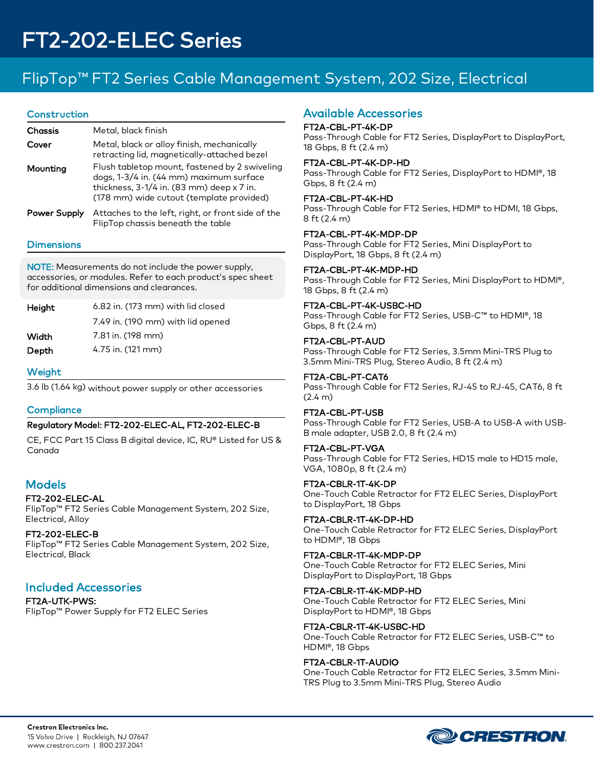## FlipTop™ FT2 Series Cable Management System, 202 Size, Electrical

#### Construction

| Chassis             | Metal, black finish                                                                                                                                                                 |
|---------------------|-------------------------------------------------------------------------------------------------------------------------------------------------------------------------------------|
| Cover               | Metal, black or alloy finish, mechanically<br>retracting lid, magnetically-attached bezel                                                                                           |
| Mounting            | Flush tabletop mount, fastened by 2 swiveling<br>dogs, 1-3/4 in. (44 mm) maximum surface<br>thickness, $3-1/4$ in. (83 mm) deep x 7 in.<br>(178 mm) wide cutout (template provided) |
| <b>Power Supply</b> | Attaches to the left, right, or front side of the<br>FlipTop chassis beneath the table                                                                                              |

#### **Dimensions**

NOTE: Measurements do not include the power supply, accessories, or modules. Refer to each product's spec sheet for additional dimensions and clearances.

| Height | 6.82 in. (173 mm) with lid closed |
|--------|-----------------------------------|
|        | 7.49 in. (190 mm) with lid opened |
| Width  | 7.81 in. (198 mm)                 |
| Depth  | 4.75 in. (121 mm)                 |

#### Weight

3.6 lb (1.64 kg) without power supply or other accessories

#### **Compliance**

#### Regulatory Model: FT2-202-ELEC-AL, FT2-202-ELEC-B

CE, FCC Part 15 Class B digital device, IC, RU® Listed for US & Canada

### **Models**

#### FT2-202-ELEC-AL

FlipTop™ FT2 Series Cable Management System, 202 Size, Electrical, Alloy

#### FT2-202-ELEC-B

FlipTop™ FT2 Series Cable Management System, 202 Size, Electrical, Black

### Included Accessories

FT2A-UTK-PWS: FlipTop™ Power Supply for FT2 ELEC Series

### Available Accessories

#### FT2A-CBL-PT-4K-DP

Pass-Through Cable for FT2 Series, DisplayPort to DisplayPort, 18 Gbps, 8 ft (2.4 m)

#### FT2A-CBL-PT-4K-DP-HD

Pass-Through Cable for FT2 Series, DisplayPort to HDMI®, 18 Gbps, 8 ft (2.4 m)

#### FT2A-CBL-PT-4K-HD

Pass-Through Cable for FT2 Series, HDMI® to HDMI, 18 Gbps, 8 ft (2.4 m)

#### FT2A-CBL-PT-4K-MDP-DP

Pass-Through Cable for FT2 Series, Mini DisplayPort to DisplayPort, 18 Gbps, 8 ft (2.4 m)

#### FT2A-CBL-PT-4K-MDP-HD

Pass-Through Cable for FT2 Series, Mini DisplayPort to HDMI®, 18 Gbps, 8 ft (2.4 m)

#### FT2A-CBL-PT-4K-USBC-HD

Pass-Through Cable for FT2 Series, USB-C™ to HDMI®, 18 Gbps, 8 ft (2.4 m)

#### FT2A-CBL-PT-AUD

Pass-Through Cable for FT2 Series, 3.5mm Mini-TRS Plug to 3.5mm Mini-TRS Plug, Stereo Audio, 8 ft (2.4 m)

#### FT2A-CBL-PT-CAT6

Pass-Through Cable for FT2 Series, RJ-45 to RJ-45, CAT6, 8 ft (2.4 m)

#### FT2A-CBL-PT-USB

Pass-Through Cable for FT2 Series, USB-A to USB-A with USB-B male adapter, USB 2.0, 8 ft (2.4 m)

#### FT2A-CBL-PT-VGA

Pass-Through Cable for FT2 Series, HD15 male to HD15 male, VGA, 1080p, 8 ft (2.4 m)

#### FT2A-CBLR-1T-4K-DP

One-Touch Cable Retractor for FT2 ELEC Series, DisplayPort to DisplayPort, 18 Gbps

#### FT2A-CBLR-1T-4K-DP-HD

One-Touch Cable Retractor for FT2 ELEC Series, DisplayPort to HDMI®, 18 Gbps

#### FT2A-CBLR-1T-4K-MDP-DP

One-Touch Cable Retractor for FT2 ELEC Series, Mini DisplayPort to DisplayPort, 18 Gbps

#### FT2A-CBLR-1T-4K-MDP-HD

One-Touch Cable Retractor for FT2 ELEC Series, Mini DisplayPort to HDMI®, 18 Gbps

#### FT2A-CBLR-1T-4K-USBC-HD

One-Touch Cable Retractor for FT2 ELEC Series, USB-C™ to HDMI®, 18 Gbps

### FT2A-CBLR-1T-AUDIO

One-Touch Cable Retractor for FT2 ELEC Series, 3.5mm Mini-TRS Plug to 3.5mm Mini-TRS Plug, Stereo Audio

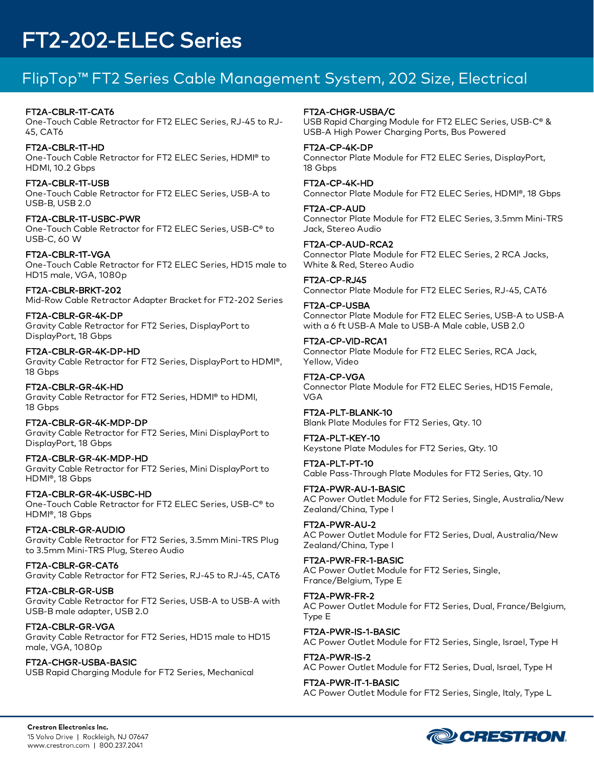## FlipTop™ FT2 Series Cable Management System, 202 Size, Electrical

#### FT2A-CBLR-1T-CAT6

One-Touch Cable Retractor for FT2 ELEC Series, RJ-45 to RJ-45, CAT6

FT2A-CBLR-1T-HD One-Touch Cable Retractor for FT2 ELEC Series, HDMI® to HDMI, 10.2 Gbps

FT2A-CBLR-1T-USB One-Touch Cable Retractor for FT2 ELEC Series, USB-A to USB-B, USB 2.0

FT2A-CBLR-1T-USBC-PWR One-Touch Cable Retractor for FT2 ELEC Series, USB-C® to USB-C, 60 W

FT2A-CBLR-1T-VGA One-Touch Cable Retractor for FT2 ELEC Series, HD15 male to HD15 male, VGA, 1080p

FT2A-CBLR-BRKT-202 Mid-Row Cable Retractor Adapter Bracket for FT2-202 Series

FT2A-CBLR-GR-4K-DP Gravity Cable Retractor for FT2 Series, DisplayPort to DisplayPort, 18 Gbps

FT2A-CBLR-GR-4K-DP-HD Gravity Cable Retractor for FT2 Series, DisplayPort to HDMI®, 18 Gbps

FT2A-CBLR-GR-4K-HD Gravity Cable Retractor for FT2 Series, HDMI® to HDMI, 18 Gbps

FT2A-CBLR-GR-4K-MDP-DP Gravity Cable Retractor for FT2 Series, Mini DisplayPort to DisplayPort, 18 Gbps

FT2A-CBLR-GR-4K-MDP-HD Gravity Cable Retractor for FT2 Series, Mini DisplayPort to HDMI®, 18 Gbps

FT2A-CBLR-GR-4K-USBC-HD One-Touch Cable Retractor for FT2 ELEC Series, USB-C® to HDMI®, 18 Gbps

FT2A-CBLR-GR-AUDIO Gravity Cable Retractor for FT2 Series, 3.5mm Mini-TRS Plug to 3.5mm Mini-TRS Plug, Stereo Audio

FT2A-CBLR-GR-CAT6 Gravity Cable Retractor for FT2 Series, RJ-45 to RJ-45, CAT6

FT2A-CBLR-GR-USB Gravity Cable Retractor for FT2 Series, USB-A to USB-A with USB-B male adapter, USB 2.0

FT2A-CBLR-GR-VGA Gravity Cable Retractor for FT2 Series, HD15 male to HD15 male, VGA, 1080p

FT2A-CHGR-USBA-BASIC USB Rapid Charging Module for FT2 Series, Mechanical FT2A-CHGR-USBA/C

USB Rapid Charging Module for FT2 ELEC Series, USB-C® & USB-A High Power Charging Ports, Bus Powered

FT2A-CP-4K-DP Connector Plate Module for FT2 ELEC Series, DisplayPort, 18 Gbps

FT2A-CP-4K-HD Connector Plate Module for FT2 ELEC Series, HDMI®, 18 Gbps FT2A-CP-AUD Connector Plate Module for FT2 ELEC Series, 3.5mm Mini-TRS

Jack, Stereo Audio

FT2A-CP-AUD-RCA2 Connector Plate Module for FT2 ELEC Series, 2 RCA Jacks, White & Red, Stereo Audio

FT2A-CP-RJ45 Connector Plate Module for FT2 ELEC Series, RJ-45, CAT6

FT2A-CP-USBA Connector Plate Module for FT2 ELEC Series, USB-A to USB-A with a 6 ft USB-A Male to USB-A Male cable, USB 2.0

FT2A-CP-VID-RCA1 Connector Plate Module for FT2 ELEC Series, RCA Jack, Yellow, Video

FT2A-CP-VGA Connector Plate Module for FT2 ELEC Series, HD15 Female, VGA

FT2A-PLT-BLANK-10 Blank Plate Modules for FT2 Series, Qty. 10

FT2A-PLT-KEY-10 Keystone Plate Modules for FT2 Series, Qty. 10

FT2A-PLT-PT-10 Cable Pass-Through Plate Modules for FT2 Series, Qty. 10

FT2A-PWR-AU-1-BASIC AC Power Outlet Module for FT2 Series, Single, Australia/New Zealand/China, Type I

FT2A-PWR-AU-2 AC Power Outlet Module for FT2 Series, Dual, Australia/New Zealand/China, Type I

FT2A-PWR-FR-1-BASIC AC Power Outlet Module for FT2 Series, Single, France/Belgium, Type E

FT2A-PWR-FR-2 AC Power Outlet Module for FT2 Series, Dual, France/Belgium, Type E

FT2A-PWR-IS-1-BASIC AC Power Outlet Module for FT2 Series, Single, Israel, Type H

FT2A-PWR-IS-2 AC Power Outlet Module for FT2 Series, Dual, Israel, Type H

FT2A-PWR-IT-1-BASIC AC Power Outlet Module for FT2 Series, Single, Italy, Type L

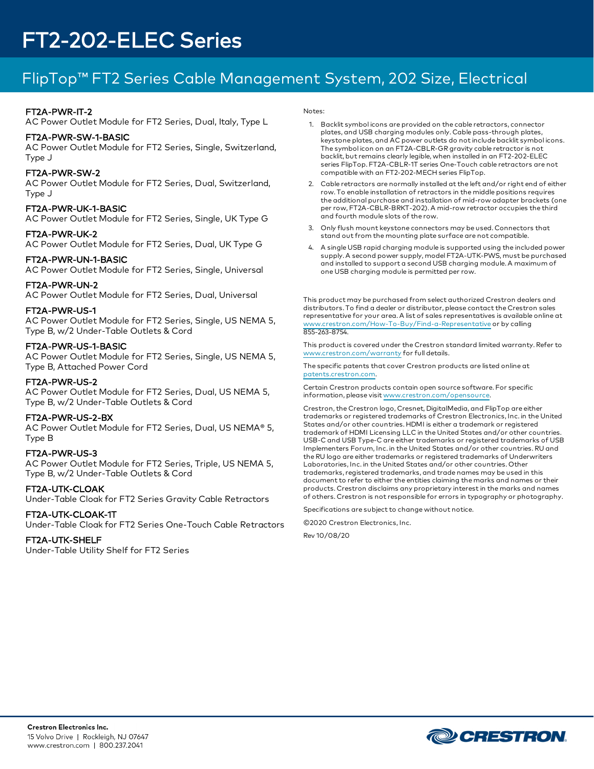## FlipTop™ FT2 Series Cable Management System, 202 Size, Electrical

### FT2A-PWR-IT-2

AC Power Outlet Module for FT2 Series, Dual, Italy, Type L

#### FT2A-PWR-SW-1-BASIC

AC Power Outlet Module for FT2 Series, Single, Switzerland, Type J

#### FT2A-PWR-SW-2

AC Power Outlet Module for FT2 Series, Dual, Switzerland, Type J

#### FT2A-PWR-UK-1-BASIC

AC Power Outlet Module for FT2 Series, Single, UK Type G

#### FT2A-PWR-UK-2

AC Power Outlet Module for FT2 Series, Dual, UK Type G

#### FT2A-PWR-UN-1-BASIC

AC Power Outlet Module for FT2 Series, Single, Universal

#### FT2A-PWR-UN-2

AC Power Outlet Module for FT2 Series, Dual, Universal

#### FT2A-PWR-US-1

AC Power Outlet Module for FT2 Series, Single, US NEMA 5, Type B, w/2 Under-Table Outlets & Cord

#### FT2A-PWR-US-1-BASIC

AC Power Outlet Module for FT2 Series, Single, US NEMA 5, Type B, Attached Power Cord

#### FT2A-PWR-US-2

AC Power Outlet Module for FT2 Series, Dual, US NEMA 5, Type B, w/2 Under-Table Outlets & Cord

#### FT2A-PWR-US-2-BX

AC Power Outlet Module for FT2 Series, Dual, US NEMA® 5, Type B

#### FT2A-PWR-US-3

AC Power Outlet Module for FT2 Series, Triple, US NEMA 5, Type B, w/2 Under-Table Outlets & Cord

#### FT2A-UTK-CLOAK

Under-Table Cloak for FT2 Series Gravity Cable Retractors

#### FT2A-UTK-CLOAK-1T

Under-Table Cloak for FT2 Series One-Touch Cable Retractors

#### FT2A-UTK-SHELF

Under-Table Utility Shelf for FT2 Series

#### Notes:

- 1. Backlit symbol icons are provided on the cable retractors, connector plates, and USB charging modules only. Cable pass-through plates, keystone plates, and AC power outlets do not include backlit symbol icons. The symbol icon on an FT2A-CBLR-GR gravity cable retractor is not backlit, but remains clearly legible, when installed in an FT2-202-ELEC series FlipTop. FT2A-CBLR-1T series One-Touch cable retractors are not compatible with an FT2-202-MECH series FlipTop.
- 2. Cable retractors are normally installed at the left and/or right end of either row. To enable installation of retractors in the middle positions requires the additional purchase and installation of mid-row adapter brackets (one per row, FT2A-CBLR-BRKT-202). A mid-row retractor occupies the third and fourth module slots of the row.
- 3. Only flush mount keystone connectors may be used. Connectors that stand out from the mounting plate surface are not compatible.
- 4. A single USB rapid charging module is supported using the included power supply. A second power supply, model FT2A-UTK-PWS, must be purchased and installed to support a second USB charging module. A maximum of one USB charging module is permitted per row.

This product may be purchased from select authorized Crestron dealers and distributors. To find a dealer or distributor, please contact the Crestron sales representative for your area. A list of sales representatives is available online at [www.crestron.com/How-To-Buy/Find-a-Representative](https://www.crestron.com/How-To-Buy/Find-a-Representative) or by calling 855-263-8754.

This product is covered under the Crestron standard limited warranty. Refer to [www.crestron.com/warranty](https://www.crestron.com/warranty) for full details.

The specific patents that cover Crestron products are listed online at [patents.crestron.com](https://patents.crestron.com/).

Certain Crestron products contain open source software. For specific information, please visit [www.crestron.com/opensource.](https://www.crestron.com/opensource)

Crestron, the Crestron logo, Cresnet, DigitalMedia, and FlipTop are either trademarks or registered trademarks of Crestron Electronics, Inc. in the United States and/or other countries. HDMI is either a trademark or registered trademark of HDMI Licensing LLC in the United States and/or other countries. USB-C and USB Type-C are either trademarks or registered trademarks of USB Implementers Forum, Inc. in the United States and/or other countries. RU and the RU logo are either trademarks or registered trademarks of Underwriters Laboratories, Inc. in the United States and/or other countries. Other trademarks, registered trademarks, and trade names may be used in this document to refer to either the entities claiming the marks and names or their products. Crestron disclaims any proprietary interest in the marks and names of others. Crestron is not responsible for errors in typography or photography.

Specifications are subject to change without notice.

©2020 Crestron Electronics, Inc.

Rev 10/08/20